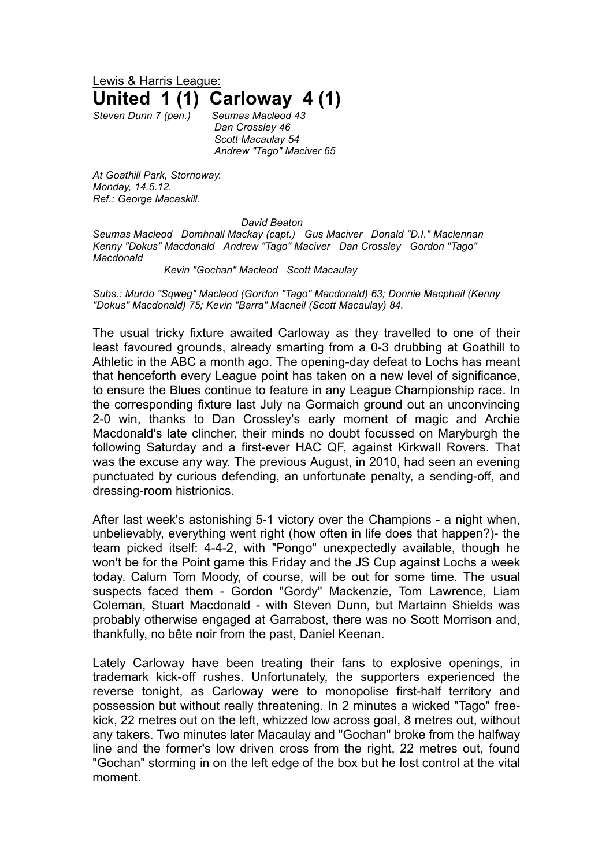Lewis & Harris League: **United 1 (1) Carloway 4 (1)**

*Steven Dunn 7 (pen.) Seumas Macleod 43 Dan Crossley 46 Scott Macaulay 54 Andrew "Tago" Maciver 65*

*At Goathill Park, Stornoway. Monday, 14.5.12. Ref.: George Macaskill.*

## *David Beaton*

*Seumas Macleod Domhnall Mackay (capt.) Gus Maciver Donald "D.I." Maclennan Kenny "Dokus" Macdonald Andrew "Tago" Maciver Dan Crossley Gordon "Tago" Macdonald*

## *Kevin "Gochan" Macleod Scott Macaulay*

*Subs.: Murdo "Sqweg" Macleod (Gordon "Tago" Macdonald) 63; Donnie Macphail (Kenny "Dokus" Macdonald) 75; Kevin "Barra" Macneil (Scott Macaulay) 84.* 

The usual tricky fixture awaited Carloway as they travelled to one of their least favoured grounds, already smarting from a 0-3 drubbing at Goathill to Athletic in the ABC a month ago. The opening-day defeat to Lochs has meant that henceforth every League point has taken on a new level of significance, to ensure the Blues continue to feature in any League Championship race. In the corresponding fixture last July na Gormaich ground out an unconvincing 2-0 win, thanks to Dan Crossley's early moment of magic and Archie Macdonald's late clincher, their minds no doubt focussed on Maryburgh the following Saturday and a first-ever HAC QF, against Kirkwall Rovers. That was the excuse any way. The previous August, in 2010, had seen an evening punctuated by curious defending, an unfortunate penalty, a sending-off, and dressing-room histrionics.

After last week's astonishing 5-1 victory over the Champions - a night when, unbelievably, everything went right (how often in life does that happen?)- the team picked itself: 4-4-2, with "Pongo" unexpectedly available, though he won't be for the Point game this Friday and the JS Cup against Lochs a week today. Calum Tom Moody, of course, will be out for some time. The usual suspects faced them - Gordon "Gordy" Mackenzie, Tom Lawrence, Liam Coleman, Stuart Macdonald - with Steven Dunn, but Martainn Shields was probably otherwise engaged at Garrabost, there was no Scott Morrison and, thankfully, no bête noir from the past, Daniel Keenan.

Lately Carloway have been treating their fans to explosive openings, in trademark kick-off rushes. Unfortunately, the supporters experienced the reverse tonight, as Carloway were to monopolise first-half territory and possession but without really threatening. In 2 minutes a wicked "Tago" freekick, 22 metres out on the left, whizzed low across goal, 8 metres out, without any takers. Two minutes later Macaulay and "Gochan" broke from the halfway line and the former's low driven cross from the right, 22 metres out, found "Gochan" storming in on the left edge of the box but he lost control at the vital moment.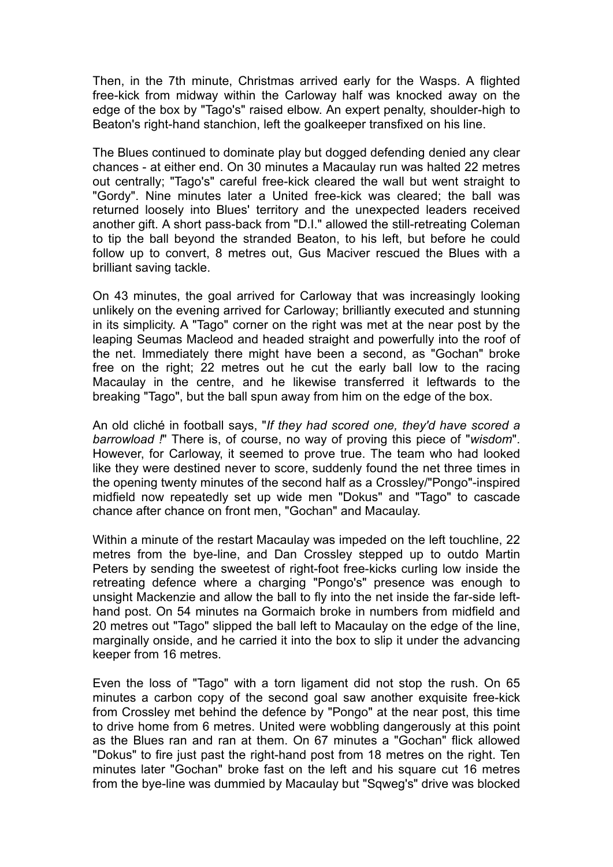Then, in the 7th minute, Christmas arrived early for the Wasps. A flighted free-kick from midway within the Carloway half was knocked away on the edge of the box by "Tago's" raised elbow. An expert penalty, shoulder-high to Beaton's right-hand stanchion, left the goalkeeper transfixed on his line.

The Blues continued to dominate play but dogged defending denied any clear chances - at either end. On 30 minutes a Macaulay run was halted 22 metres out centrally; "Tago's" careful free-kick cleared the wall but went straight to "Gordy". Nine minutes later a United free-kick was cleared; the ball was returned loosely into Blues' territory and the unexpected leaders received another gift. A short pass-back from "D.I." allowed the still-retreating Coleman to tip the ball beyond the stranded Beaton, to his left, but before he could follow up to convert, 8 metres out, Gus Maciver rescued the Blues with a brilliant saving tackle.

On 43 minutes, the goal arrived for Carloway that was increasingly looking unlikely on the evening arrived for Carloway; brilliantly executed and stunning in its simplicity. A "Tago" corner on the right was met at the near post by the leaping Seumas Macleod and headed straight and powerfully into the roof of the net. Immediately there might have been a second, as "Gochan" broke free on the right; 22 metres out he cut the early ball low to the racing Macaulay in the centre, and he likewise transferred it leftwards to the breaking "Tago", but the ball spun away from him on the edge of the box.

An old cliché in football says, "*If they had scored one, they'd have scored a barrowload !*" There is, of course, no way of proving this piece of "*wisdom*". However, for Carloway, it seemed to prove true. The team who had looked like they were destined never to score, suddenly found the net three times in the opening twenty minutes of the second half as a Crossley/"Pongo"-inspired midfield now repeatedly set up wide men "Dokus" and "Tago" to cascade chance after chance on front men, "Gochan" and Macaulay.

Within a minute of the restart Macaulay was impeded on the left touchline, 22 metres from the bye-line, and Dan Crossley stepped up to outdo Martin Peters by sending the sweetest of right-foot free-kicks curling low inside the retreating defence where a charging "Pongo's" presence was enough to unsight Mackenzie and allow the ball to fly into the net inside the far-side lefthand post. On 54 minutes na Gormaich broke in numbers from midfield and 20 metres out "Tago" slipped the ball left to Macaulay on the edge of the line, marginally onside, and he carried it into the box to slip it under the advancing keeper from 16 metres.

Even the loss of "Tago" with a torn ligament did not stop the rush. On 65 minutes a carbon copy of the second goal saw another exquisite free-kick from Crossley met behind the defence by "Pongo" at the near post, this time to drive home from 6 metres. United were wobbling dangerously at this point as the Blues ran and ran at them. On 67 minutes a "Gochan" flick allowed "Dokus" to fire just past the right-hand post from 18 metres on the right. Ten minutes later "Gochan" broke fast on the left and his square cut 16 metres from the bye-line was dummied by Macaulay but "Sqweg's" drive was blocked